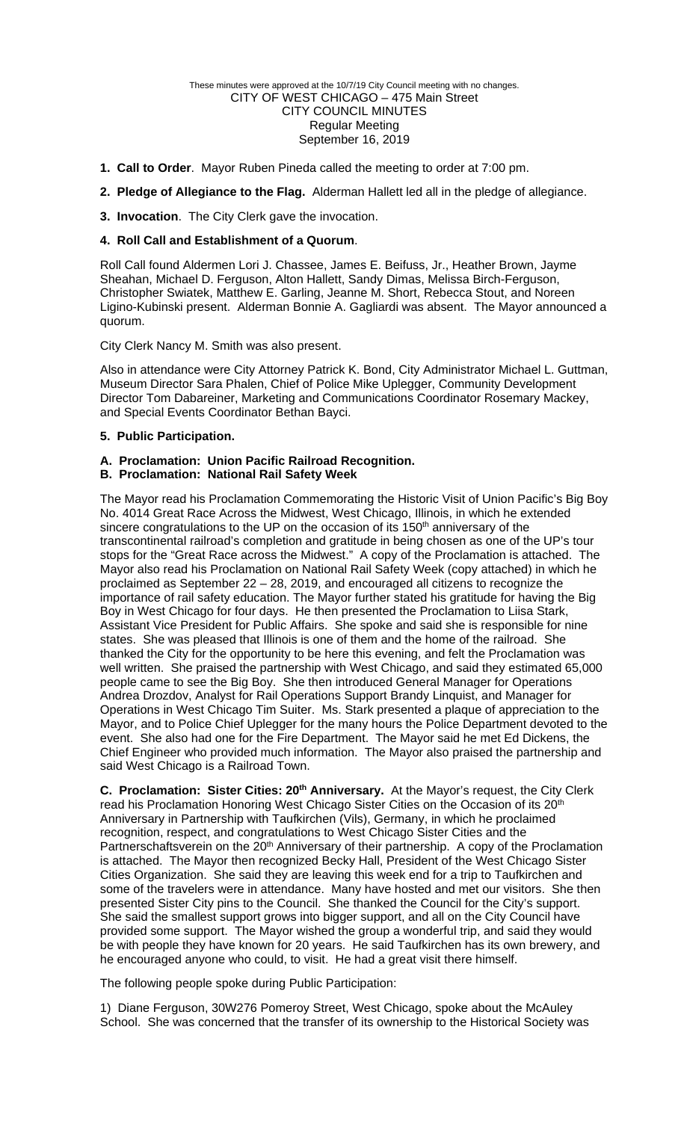#### These minutes were approved at the 10/7/19 City Council meeting with no changes. CITY OF WEST CHICAGO – 475 Main Street CITY COUNCIL MINUTES Regular Meeting September 16, 2019

- **1. Call to Order**. Mayor Ruben Pineda called the meeting to order at 7:00 pm.
- **2. Pledge of Allegiance to the Flag.** Alderman Hallett led all in the pledge of allegiance.
- **3. Invocation**. The City Clerk gave the invocation.

## **4. Roll Call and Establishment of a Quorum**.

Roll Call found Aldermen Lori J. Chassee, James E. Beifuss, Jr., Heather Brown, Jayme Sheahan, Michael D. Ferguson, Alton Hallett, Sandy Dimas, Melissa Birch-Ferguson, Christopher Swiatek, Matthew E. Garling, Jeanne M. Short, Rebecca Stout, and Noreen Ligino-Kubinski present. Alderman Bonnie A. Gagliardi was absent. The Mayor announced a quorum.

City Clerk Nancy M. Smith was also present.

Also in attendance were City Attorney Patrick K. Bond, City Administrator Michael L. Guttman, Museum Director Sara Phalen, Chief of Police Mike Uplegger, Community Development Director Tom Dabareiner, Marketing and Communications Coordinator Rosemary Mackey, and Special Events Coordinator Bethan Bayci.

## **5. Public Participation.**

# **A. Proclamation: Union Pacific Railroad Recognition.**

## **B. Proclamation: National Rail Safety Week**

The Mayor read his Proclamation Commemorating the Historic Visit of Union Pacific's Big Boy No. 4014 Great Race Across the Midwest, West Chicago, Illinois, in which he extended sincere congratulations to the UP on the occasion of its  $150<sup>th</sup>$  anniversary of the transcontinental railroad's completion and gratitude in being chosen as one of the UP's tour stops for the "Great Race across the Midwest." A copy of the Proclamation is attached. The Mayor also read his Proclamation on National Rail Safety Week (copy attached) in which he proclaimed as September 22 – 28, 2019, and encouraged all citizens to recognize the importance of rail safety education. The Mayor further stated his gratitude for having the Big Boy in West Chicago for four days. He then presented the Proclamation to Liisa Stark, Assistant Vice President for Public Affairs. She spoke and said she is responsible for nine states. She was pleased that Illinois is one of them and the home of the railroad. She thanked the City for the opportunity to be here this evening, and felt the Proclamation was well written. She praised the partnership with West Chicago, and said they estimated 65,000 people came to see the Big Boy. She then introduced General Manager for Operations Andrea Drozdov, Analyst for Rail Operations Support Brandy Linquist, and Manager for Operations in West Chicago Tim Suiter. Ms. Stark presented a plaque of appreciation to the Mayor, and to Police Chief Uplegger for the many hours the Police Department devoted to the event. She also had one for the Fire Department. The Mayor said he met Ed Dickens, the Chief Engineer who provided much information. The Mayor also praised the partnership and said West Chicago is a Railroad Town.

**C. Proclamation: Sister Cities: 20<sup>th</sup> Anniversary.** At the Mayor's request, the City Clerk read his Proclamation Honoring West Chicago Sister Cities on the Occasion of its 20<sup>th</sup> Anniversary in Partnership with Taufkirchen (Vils), Germany, in which he proclaimed recognition, respect, and congratulations to West Chicago Sister Cities and the Partnerschaftsverein on the 20<sup>th</sup> Anniversary of their partnership. A copy of the Proclamation is attached. The Mayor then recognized Becky Hall, President of the West Chicago Sister Cities Organization. She said they are leaving this week end for a trip to Taufkirchen and some of the travelers were in attendance. Many have hosted and met our visitors. She then presented Sister City pins to the Council. She thanked the Council for the City's support. She said the smallest support grows into bigger support, and all on the City Council have provided some support. The Mayor wished the group a wonderful trip, and said they would be with people they have known for 20 years. He said Taufkirchen has its own brewery, and he encouraged anyone who could, to visit. He had a great visit there himself.

The following people spoke during Public Participation:

1) Diane Ferguson, 30W276 Pomeroy Street, West Chicago, spoke about the McAuley School. She was concerned that the transfer of its ownership to the Historical Society was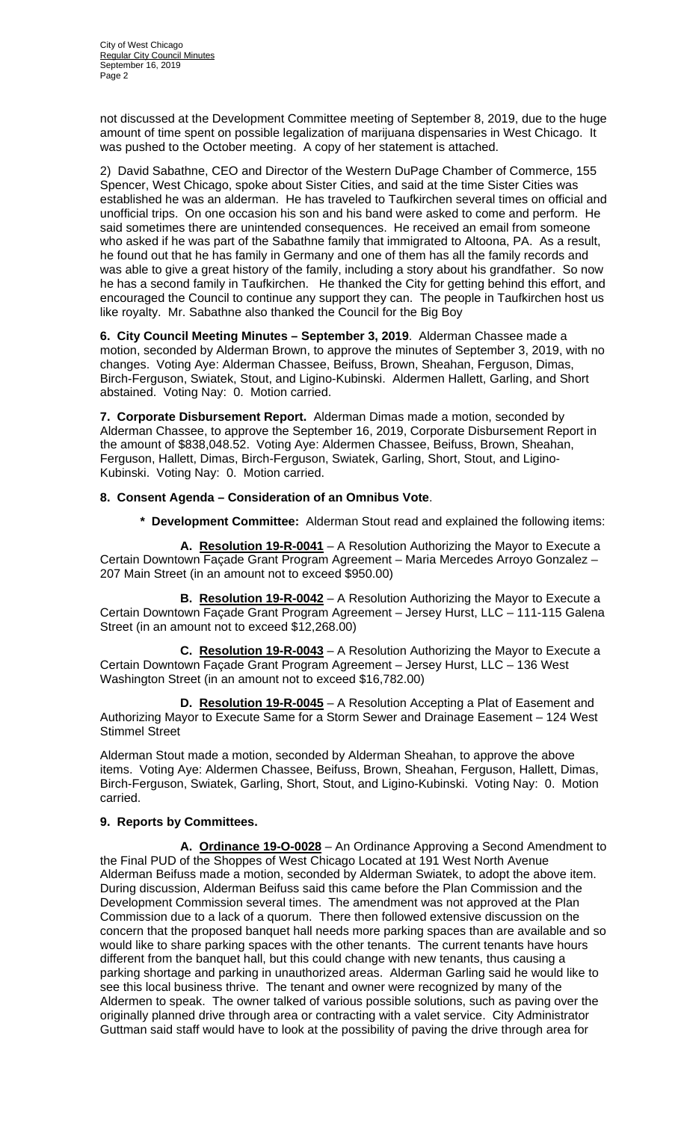not discussed at the Development Committee meeting of September 8, 2019, due to the huge amount of time spent on possible legalization of marijuana dispensaries in West Chicago. It was pushed to the October meeting. A copy of her statement is attached.

2) David Sabathne, CEO and Director of the Western DuPage Chamber of Commerce, 155 Spencer, West Chicago, spoke about Sister Cities, and said at the time Sister Cities was established he was an alderman. He has traveled to Taufkirchen several times on official and unofficial trips. On one occasion his son and his band were asked to come and perform. He said sometimes there are unintended consequences. He received an email from someone who asked if he was part of the Sabathne family that immigrated to Altoona, PA. As a result, he found out that he has family in Germany and one of them has all the family records and was able to give a great history of the family, including a story about his grandfather. So now he has a second family in Taufkirchen. He thanked the City for getting behind this effort, and encouraged the Council to continue any support they can. The people in Taufkirchen host us like royalty. Mr. Sabathne also thanked the Council for the Big Boy

**6. City Council Meeting Minutes – September 3, 2019**. Alderman Chassee made a motion, seconded by Alderman Brown, to approve the minutes of September 3, 2019, with no changes. Voting Aye: Alderman Chassee, Beifuss, Brown, Sheahan, Ferguson, Dimas, Birch-Ferguson, Swiatek, Stout, and Ligino-Kubinski. Aldermen Hallett, Garling, and Short abstained. Voting Nay: 0. Motion carried.

**7. Corporate Disbursement Report.** Alderman Dimas made a motion, seconded by Alderman Chassee, to approve the September 16, 2019, Corporate Disbursement Report in the amount of \$838,048.52. Voting Aye: Aldermen Chassee, Beifuss, Brown, Sheahan, Ferguson, Hallett, Dimas, Birch-Ferguson, Swiatek, Garling, Short, Stout, and Ligino-Kubinski. Voting Nay: 0. Motion carried.

## **8. Consent Agenda – Consideration of an Omnibus Vote**.

**\* Development Committee:** Alderman Stout read and explained the following items:

 **A. Resolution 19-R-0041** – A Resolution Authorizing the Mayor to Execute a Certain Downtown Façade Grant Program Agreement – Maria Mercedes Arroyo Gonzalez – 207 Main Street (in an amount not to exceed \$950.00)

 **B. Resolution 19-R-0042** – A Resolution Authorizing the Mayor to Execute a Certain Downtown Façade Grant Program Agreement – Jersey Hurst, LLC – 111-115 Galena Street (in an amount not to exceed \$12,268.00)

 **C. Resolution 19-R-0043** – A Resolution Authorizing the Mayor to Execute a Certain Downtown Façade Grant Program Agreement – Jersey Hurst, LLC – 136 West Washington Street (in an amount not to exceed \$16,782.00)

 **D. Resolution 19-R-0045** – A Resolution Accepting a Plat of Easement and Authorizing Mayor to Execute Same for a Storm Sewer and Drainage Easement – 124 West Stimmel Street

Alderman Stout made a motion, seconded by Alderman Sheahan, to approve the above items. Voting Aye: Aldermen Chassee, Beifuss, Brown, Sheahan, Ferguson, Hallett, Dimas, Birch-Ferguson, Swiatek, Garling, Short, Stout, and Ligino-Kubinski. Voting Nay: 0. Motion carried.

## **9. Reports by Committees.**

 **A. Ordinance 19-O-0028** – An Ordinance Approving a Second Amendment to the Final PUD of the Shoppes of West Chicago Located at 191 West North Avenue Alderman Beifuss made a motion, seconded by Alderman Swiatek, to adopt the above item. During discussion, Alderman Beifuss said this came before the Plan Commission and the Development Commission several times. The amendment was not approved at the Plan Commission due to a lack of a quorum. There then followed extensive discussion on the concern that the proposed banquet hall needs more parking spaces than are available and so would like to share parking spaces with the other tenants. The current tenants have hours different from the banquet hall, but this could change with new tenants, thus causing a parking shortage and parking in unauthorized areas. Alderman Garling said he would like to see this local business thrive. The tenant and owner were recognized by many of the Aldermen to speak. The owner talked of various possible solutions, such as paving over the originally planned drive through area or contracting with a valet service. City Administrator Guttman said staff would have to look at the possibility of paving the drive through area for